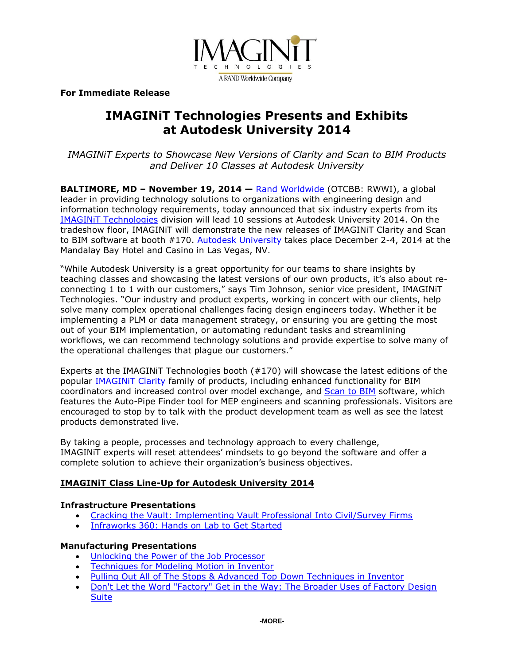

**For Immediate Release**

# **IMAGINiT Technologies Presents and Exhibits at Autodesk University 2014**

*IMAGINiT Experts to Showcase New Versions of Clarity and Scan to BIM Products and Deliver 10 Classes at Autodesk University* 

**BALTIMORE, MD – November 19, 2014 —** [Rand Worldwide](http://www.rand.com/) (OTCBB: RWWI), a global leader in providing technology solutions to organizations with engineering design and information technology requirements, today announced that six industry experts from its [IMAGINiT Technologies](http://www.imaginit.com/) division will lead 10 sessions at Autodesk University 2014. On the tradeshow floor, IMAGINiT will demonstrate the new releases of IMAGINiT Clarity and Scan to BIM software at booth #170. [Autodesk University](http://au.autodesk.com/) takes place December 2-4, 2014 at the Mandalay Bay Hotel and Casino in Las Vegas, NV.

"While Autodesk University is a great opportunity for our teams to share insights by teaching classes and showcasing the latest versions of our own products, it's also about reconnecting 1 to 1 with our customers," says Tim Johnson, senior vice president, IMAGINiT Technologies. "Our industry and product experts, working in concert with our clients, help solve many complex operational challenges facing design engineers today. Whether it be implementing a PLM or data management strategy, or ensuring you are getting the most out of your BIM implementation, or automating redundant tasks and streamlining workflows, we can recommend technology solutions and provide expertise to solve many of the operational challenges that plague our customers."

Experts at the IMAGINiT Technologies booth (#170) will showcase the latest editions of the popular [IMAGINiT Clarity](http://www.imaginit.com/software-solutions/imaginit-products/imaginit-clarity-for-autodesk-revit-server) family of products, including enhanced functionality for BIM coordinators and increased control over model exchange, and [Scan to BIM](http://www.imaginit.com/software-solutions/imaginit-products/scan-to-bim) software, which features the Auto-Pipe Finder tool for MEP engineers and scanning professionals. Visitors are encouraged to stop by to talk with the product development team as well as see the latest products demonstrated live.

By taking a people, processes and technology approach to every challenge, IMAGINiT experts will reset attendees' mindsets to go beyond the software and offer a complete solution to achieve their organization's business objectives.

# **IMAGINiT Class Line-Up for Autodesk University 2014**

## **Infrastructure Presentations**

- [Cracking the Vault: Implementing Vault Professional Into Civil/Survey Firms](https://events.au.autodesk.com/connect/sessionDetail.ww?SESSION_ID=6308&tclass=popup)
- [Infraworks 360: Hands on Lab to Get Started](https://events.au.autodesk.com/connect/sessionDetail.ww?SESSION_ID=6330&tclass=popup)

## **Manufacturing Presentations**

- [Unlocking the Power of the Job Processor](https://events.au.autodesk.com/connect/sessionDetail.ww?SESSION_ID=5827&tclass=popup)
- [Techniques for Modeling Motion in Inventor](https://events.au.autodesk.com/connect/sessionDetail.ww?SESSION_ID=5829&tclass=popup)
- [Pulling Out All of The Stops & Advanced Top Down Techniques in Inventor](https://events.au.autodesk.com/connect/sessionDetail.ww?SESSION_ID=5792&tclass=popup)
- Don't Let the Word "Factory" Get in the Way: The Broader Uses of Factory Design **[Suite](https://events.au.autodesk.com/connect/sessionDetail.ww?SESSION_ID=5034&tclass=popup)**